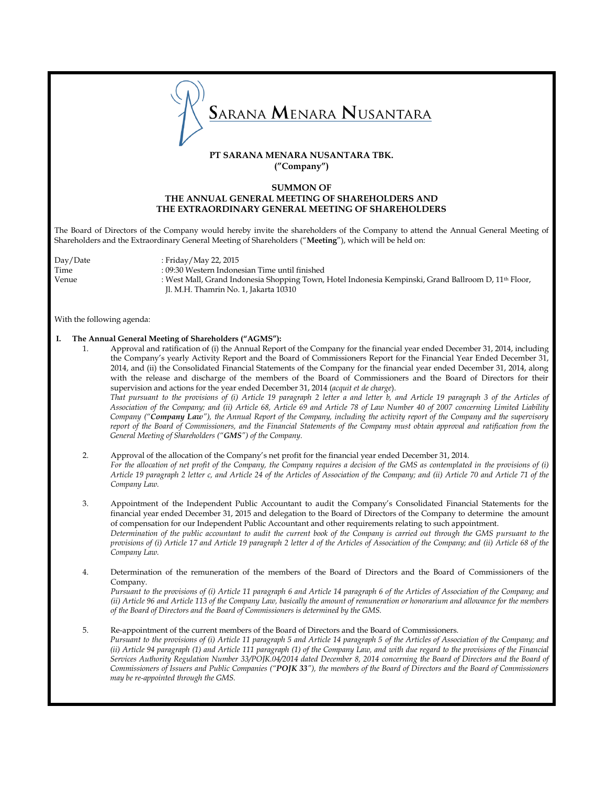

# **PT SARANA MENARA NUSANTARA TBK. ("Company")**

## **SUMMON OF THE ANNUAL GENERAL MEETING OF SHAREHOLDERS AND THE EXTRAORDINARY GENERAL MEETING OF SHAREHOLDERS**

The Board of Directors of the Company would hereby invite the shareholders of the Company to attend the Annual General Meeting of Shareholders and the Extraordinary General Meeting of Shareholders ("**Meeting**"), which will be held on:

Day/Date : Friday/May 22, 2015

Time : 09:30 Western Indonesian Time until finished Venue : West Mall, Grand Indonesia Shopping Town, Hotel Indonesia Kempinski, Grand Ballroom D, 11<sup>th</sup> Floor, Jl. M.H. Thamrin No. 1, Jakarta 10310

With the following agenda:

### **I. The Annual General Meeting of Shareholders ("AGMS"):**

- 1. Approval and ratification of (i) the Annual Report of the Company for the financial year ended December 31, 2014, including the Company's yearly Activity Report and the Board of Commissioners Report for the Financial Year Ended December 31, 2014, and (ii) the Consolidated Financial Statements of the Company for the financial year ended December 31, 2014, along with the release and discharge of the members of the Board of Commissioners and the Board of Directors for their supervision and actions for the year ended December 31, 2014 (*acquit et de charge*). *That pursuant to the provisions of (i) Article 19 paragraph 2 letter a and letter b, and Article 19 paragraph 3 of the Articles of Association of the Company; and (ii) Article 68, Article 69 and Article 78 of Law Number 40 of 2007 concerning Limited Liability Company ("Company Law"), the Annual Report of the Company, including the activity report of the Company and the supervisory report of the Board of Commissioners, and the Financial Statements of the Company must obtain approval and ratification from the General Meeting of Shareholders ("GMS") of the Company.*
- 2. Approval of the allocation of the Company's net profit for the financial year ended December 31, 2014. *For the allocation of net profit of the Company, the Company requires a decision of the GMS as contemplated in the provisions of (i) Article 19 paragraph 2 letter c, and Article 24 of the Articles of Association of the Company; and (ii) Article 70 and Article 71 of the Company Law.*
- 3. Appointment of the Independent Public Accountant to audit the Company's Consolidated Financial Statements for the financial year ended December 31, 2015 and delegation to the Board of Directors of the Company to determine the amount of compensation for our Independent Public Accountant and other requirements relating to such appointment. *Determination of the public accountant to audit the current book of the Company is carried out through the GMS pursuant to the provisions of (i) Article 17 and Article 19 paragraph 2 letter d of the Articles of Association of the Company; and (ii) Article 68 of the Company Law.*
- 4. Determination of the remuneration of the members of the Board of Directors and the Board of Commissioners of the Company.

*Pursuant to the provisions of (i) Article 11 paragraph 6 and Article 14 paragraph 6 of the Articles of Association of the Company; and (ii) Article 96 and Article 113 of the Company Law, basically the amount of remuneration or honorarium and allowance for the members of the Board of Directors and the Board of Commissioners is determined by the GMS.*

### 5. Re-appointment of the current members of the Board of Directors and the Board of Commissioners.

*Pursuant to the provisions of (i) Article 11 paragraph 5 and Article 14 paragraph 5 of the Articles of Association of the Company; and (ii) Article 94 paragraph (1) and Article 111 paragraph (1) of the Company Law, and with due regard to the provisions of the Financial Services Authority Regulation Number 33/POJK.04/2014 dated December 8, 2014 concerning the Board of Directors and the Board of Commissioners of Issuers and Public Companies ("POJK 33"), the members of the Board of Directors and the Board of Commissioners may be re-appointed through the GMS.*